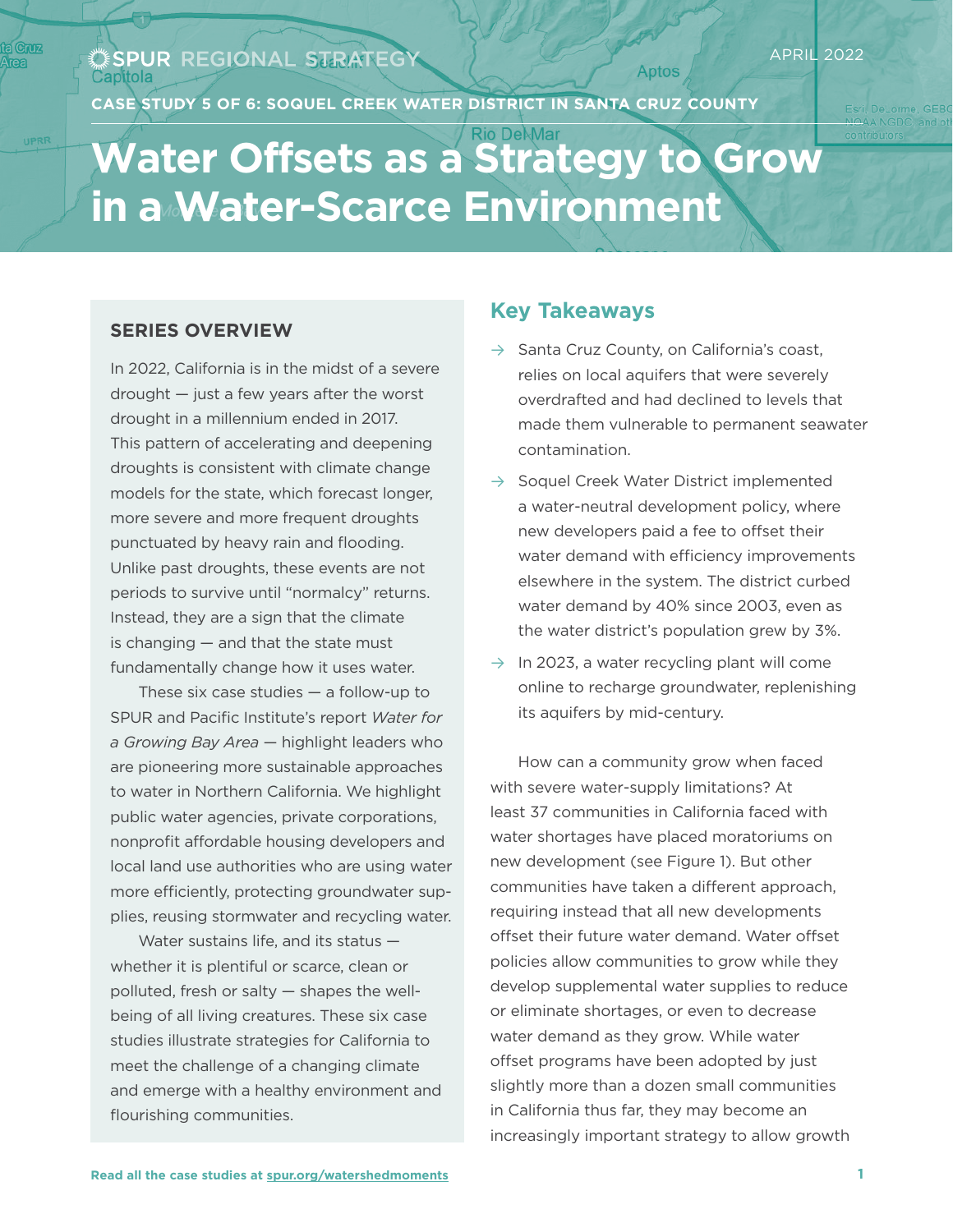#### SPUR REGIONAL STRATEGY Capitola

**CASE STUDY 5 OF 6: SOQUEL CREEK WATER DISTRICT IN SANTA CRUZ COUNTY**

# **Water Offsets as a Strategy to Grow in a Water-Scarce Environment**

### **SERIES OVERVIEW**

In 2022, California is in the midst of a severe drought — just a few years after the worst drought in a millennium ended in 2017. This pattern of accelerating and deepening droughts is consistent with climate change models for the state, which forecast longer, more severe and more frequent droughts punctuated by heavy rain and flooding. Unlike past droughts, these events are not periods to survive until "normalcy" returns. Instead, they are a sign that the climate is changing — and that the state must fundamentally change how it uses water.

These six case studies — a follow-up to SPUR and Pacific Institute's report *Water for a Growing Bay Area* — highlight leaders who are pioneering more sustainable approaches to water in Northern California. We highlight public water agencies, private corporations, nonprofit affordable housing developers and local land use authorities who are using water more efficiently, protecting groundwater supplies, reusing stormwater and recycling water.

Water sustains life, and its status whether it is plentiful or scarce, clean or polluted, fresh or salty — shapes the wellbeing of all living creatures. These six case studies illustrate strategies for California to meet the challenge of a changing climate and emerge with a healthy environment and flourishing communities.

### **Key Takeaways**

 $\rightarrow$  Santa Cruz County, on California's coast, relies on local aquifers that were severely overdrafted and had declined to levels that made them vulnerable to permanent seawater contamination.

**Aptos** 

- $\rightarrow$  Soquel Creek Water District implemented a water-neutral development policy, where new developers paid a fee to offset their water demand with efficiency improvements elsewhere in the system. The district curbed water demand by 40% since 2003, even as the water district's population grew by 3%.
- $\rightarrow$  In 2023, a water recycling plant will come online to recharge groundwater, replenishing its aquifers by mid-century.

How can a community grow when faced with severe water-supply limitations? At least 37 communities in California faced with water shortages have placed moratoriums on new development (see Figure 1). But other communities have taken a different approach, requiring instead that all new developments offset their future water demand. Water offset policies allow communities to grow while they develop supplemental water supplies to reduce or eliminate shortages, or even to decrease water demand as they grow. While water offset programs have been adopted by just slightly more than a dozen small communities in California thus far, they may become an increasingly important strategy to allow growth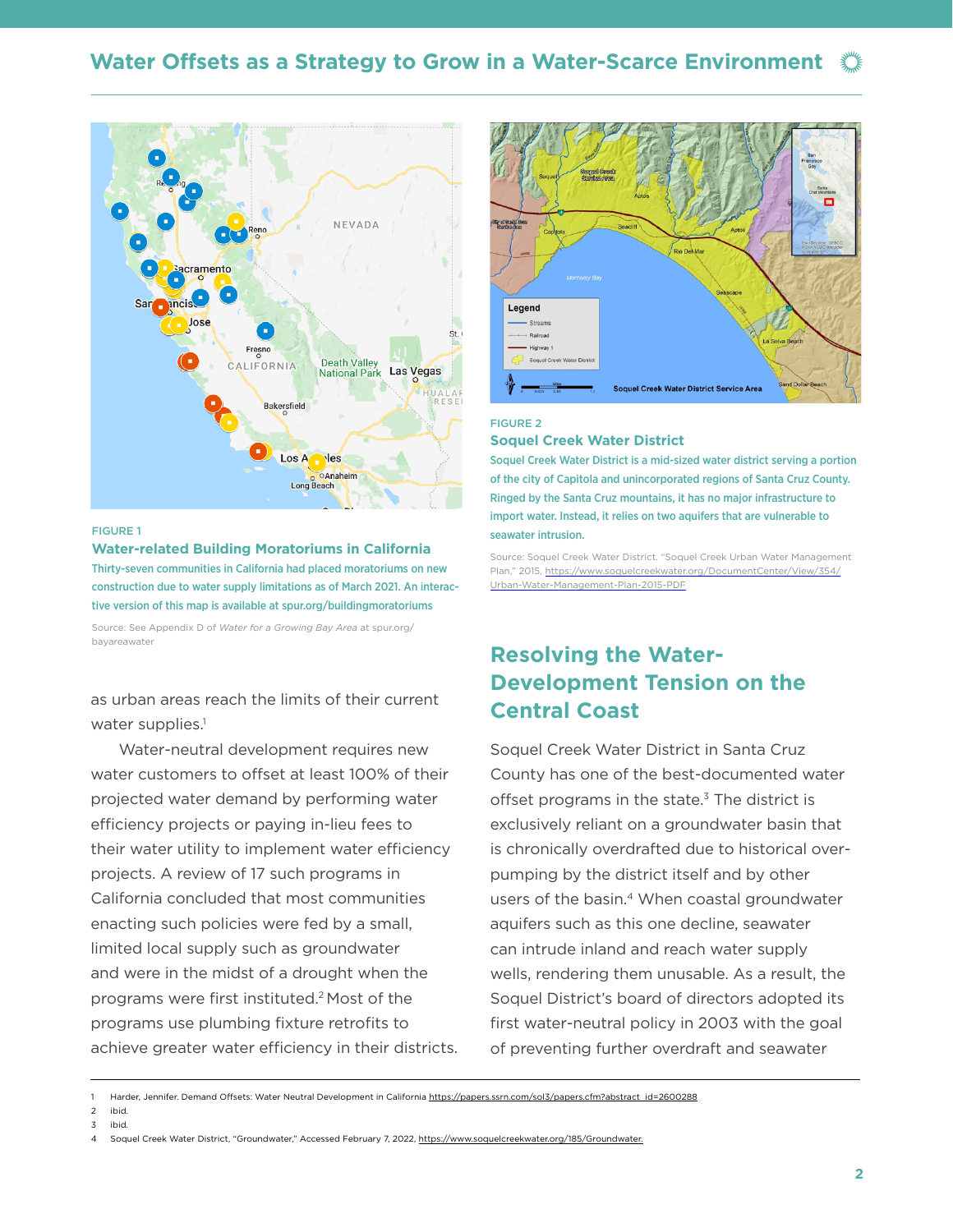

#### FIGURE 1

#### **Water-related Building Moratoriums in California** Thirty-seven communities in California had placed moratoriums on new

construction due to water supply limitations as of March 2021. An interactive version of this map is available at spur.org/buildingmoratoriums

Source: See Appendix D of *Water for a Growing Bay Area* at spur.org/ bayareawater

as urban areas reach the limits of their current water supplies.<sup>1</sup>

Water-neutral development requires new water customers to offset at least 100% of their projected water demand by performing water efficiency projects or paying in-lieu fees to their water utility to implement water efficiency projects. A review of 17 such programs in California concluded that most communities enacting such policies were fed by a small, limited local supply such as groundwater and were in the midst of a drought when the programs were first instituted.2 Most of the programs use plumbing fixture retrofits to achieve greater water efficiency in their districts.



#### FIGURE 2

#### **Soquel Creek Water District**

Soquel Creek Water District is a mid-sized water district serving a portion of the city of Capitola and unincorporated regions of Santa Cruz County. Ringed by the Santa Cruz mountains, it has no major infrastructure to import water. Instead, it relies on two aquifers that are vulnerable to seawater intrusion.

Source: Soquel Creek Water District. "Soquel Creek Urban Water Management Plan," 2015, https://www.soquelcreekwater.org/DocumentCenter/View/354/ Urban-Water-Management-Plan-2015-PDF

# **Resolving the Water-Development Tension on the Central Coast**

Soquel Creek Water District in Santa Cruz County has one of the best-documented water offset programs in the state.<sup>3</sup> The district is exclusively reliant on a groundwater basin that is chronically overdrafted due to historical overpumping by the district itself and by other users of the basin.<sup>4</sup> When coastal groundwater aquifers such as this one decline, seawater can intrude inland and reach water supply wells, rendering them unusable. As a result, the Soquel District's board of directors adopted its first water-neutral policy in 2003 with the goal of preventing further overdraft and seawater

2 ibid. 3 ibid.

<sup>1</sup> Harder, Jennifer. Demand Offsets: Water Neutral Development in California https://papers.ssrn.com/sol3/papers.cfm?abstract\_id=2600288

<sup>4</sup> Soquel Creek Water District, "Groundwater," Accessed February 7, 2022, [https://www.soquelcreekwater.org/185/Groundwater.](https://www.soquelcreekwater.org/185/Groundwater)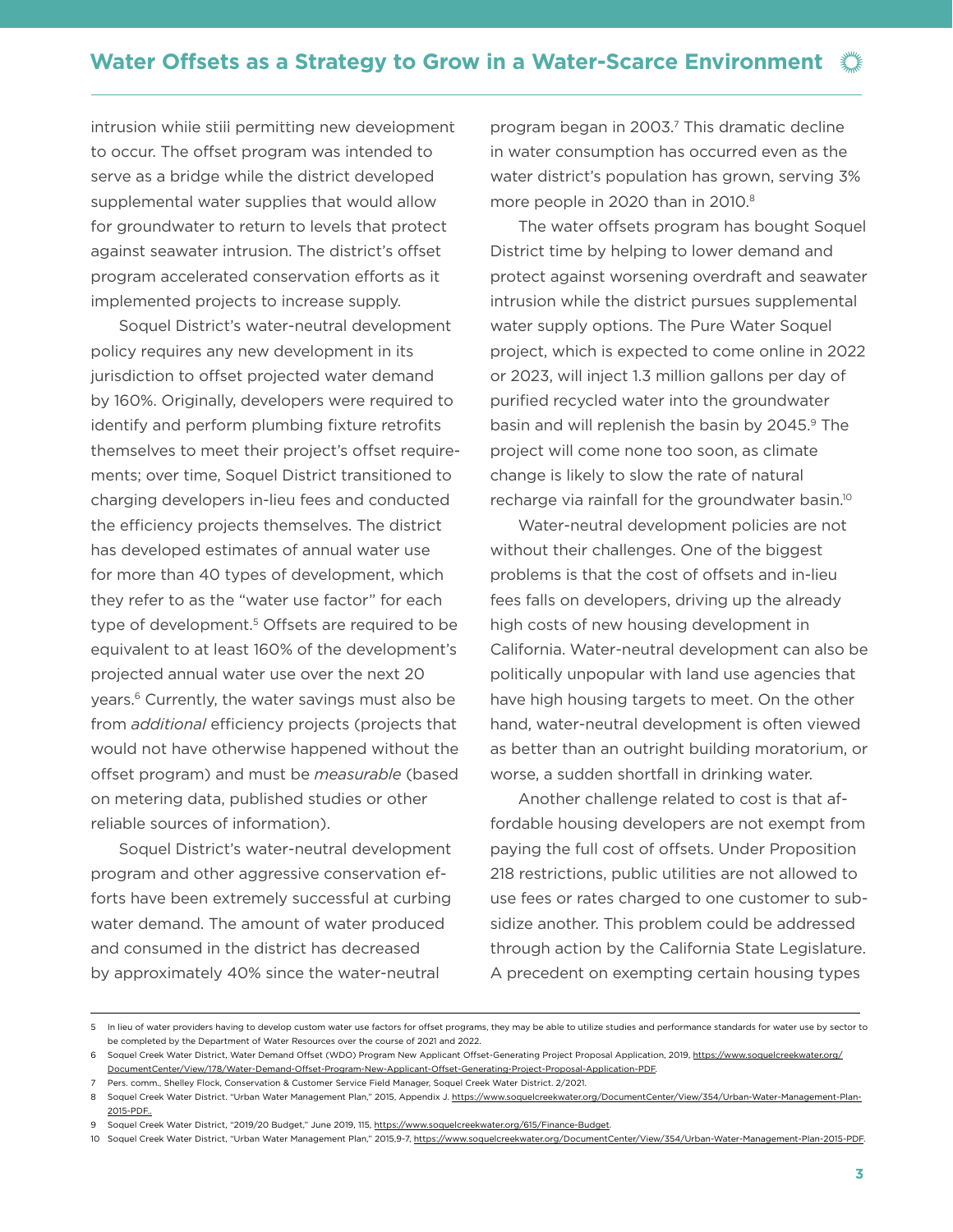intrusion while still permitting new development to occur. The offset program was intended to serve as a bridge while the district developed supplemental water supplies that would allow for groundwater to return to levels that protect against seawater intrusion. The district's offset program accelerated conservation efforts as it implemented projects to increase supply.

Soquel District's water-neutral development policy requires any new development in its jurisdiction to offset projected water demand by 160%. Originally, developers were required to identify and perform plumbing fixture retrofits themselves to meet their project's offset requirements; over time, Soquel District transitioned to charging developers in-lieu fees and conducted the efficiency projects themselves. The district has developed estimates of annual water use for more than 40 types of development, which they refer to as the "water use factor" for each type of development.<sup>5</sup> Offsets are required to be equivalent to at least 160% of the development's projected annual water use over the next 20 years.<sup>6</sup> Currently, the water savings must also be from *additional* efficiency projects (projects that would not have otherwise happened without the offset program) and must be *measurable* (based on metering data, published studies or other reliable sources of information).

Soquel District's water-neutral development program and other aggressive conservation efforts have been extremely successful at curbing water demand. The amount of water produced and consumed in the district has decreased by approximately 40% since the water-neutral

program began in 2003.<sup>7</sup> This dramatic decline in water consumption has occurred even as the water district's population has grown, serving 3% more people in 2020 than in 2010.<sup>8</sup>

The water offsets program has bought Soquel District time by helping to lower demand and protect against worsening overdraft and seawater intrusion while the district pursues supplemental water supply options. The Pure Water Soquel project, which is expected to come online in 2022 or 2023, will inject 1.3 million gallons per day of purified recycled water into the groundwater basin and will replenish the basin by 2045.<sup>9</sup> The project will come none too soon, as climate change is likely to slow the rate of natural recharge via rainfall for the groundwater basin.10

Water-neutral development policies are not without their challenges. One of the biggest problems is that the cost of offsets and in-lieu fees falls on developers, driving up the already high costs of new housing development in California. Water-neutral development can also be politically unpopular with land use agencies that have high housing targets to meet. On the other hand, water-neutral development is often viewed as better than an outright building moratorium, or worse, a sudden shortfall in drinking water.

Another challenge related to cost is that affordable housing developers are not exempt from paying the full cost of offsets. Under Proposition 218 restrictions, public utilities are not allowed to use fees or rates charged to one customer to subsidize another. This problem could be addressed through action by the California State Legislature. A precedent on exempting certain housing types

<sup>5</sup> In lieu of water providers having to develop custom water use factors for offset programs, they may be able to utilize studies and performance standards for water use by sector to be completed by the Department of Water Resources over the course of 2021 and 2022.

<sup>6</sup>Soquel Creek Water District, Water Demand Offset (WDO) Program New Applicant Offset-Generating Project Proposal Application, 2019, https://www.soquelcreekwater.org/ DocumentCenter/View/178/Water-Demand-Offset-Program-New-Applicant-Offset-Generating-Project-Proposal-Application-PDF.

<sup>7</sup> Pers. comm., Shelley Flock, Conservation & Customer Service Field Manager, Soquel Creek Water District. 2/2021.

<sup>8</sup> Soquel Creek Water District. "Urban Water Management Plan," 2015, Appendix J. [https://www.soquelcreekwater.org/DocumentCenter/View/354/Urban-Water-Management-Plan-](https://www.soquelcreekwater.org/DocumentCenter/View/354/Urban-Water-Management-Plan-2015-PDF..
)[2015-PDF..](https://www.soquelcreekwater.org/DocumentCenter/View/354/Urban-Water-Management-Plan-2015-PDF..
)

Soquel Creek Water District, "2019/20 Budget," June 2019, 115, [https://www.soquelcreekwater.org/615/Finance-Budget.](https://www.soquelcreekwater.org/615/Finance-Budget)

<sup>10</sup> Soquel Creek Water District, "Urban Water Management Plan," 2015,9-7,<https://www.soquelcreekwater.org/DocumentCenter/View/354/Urban-Water-Management-Plan-2015-PDF>.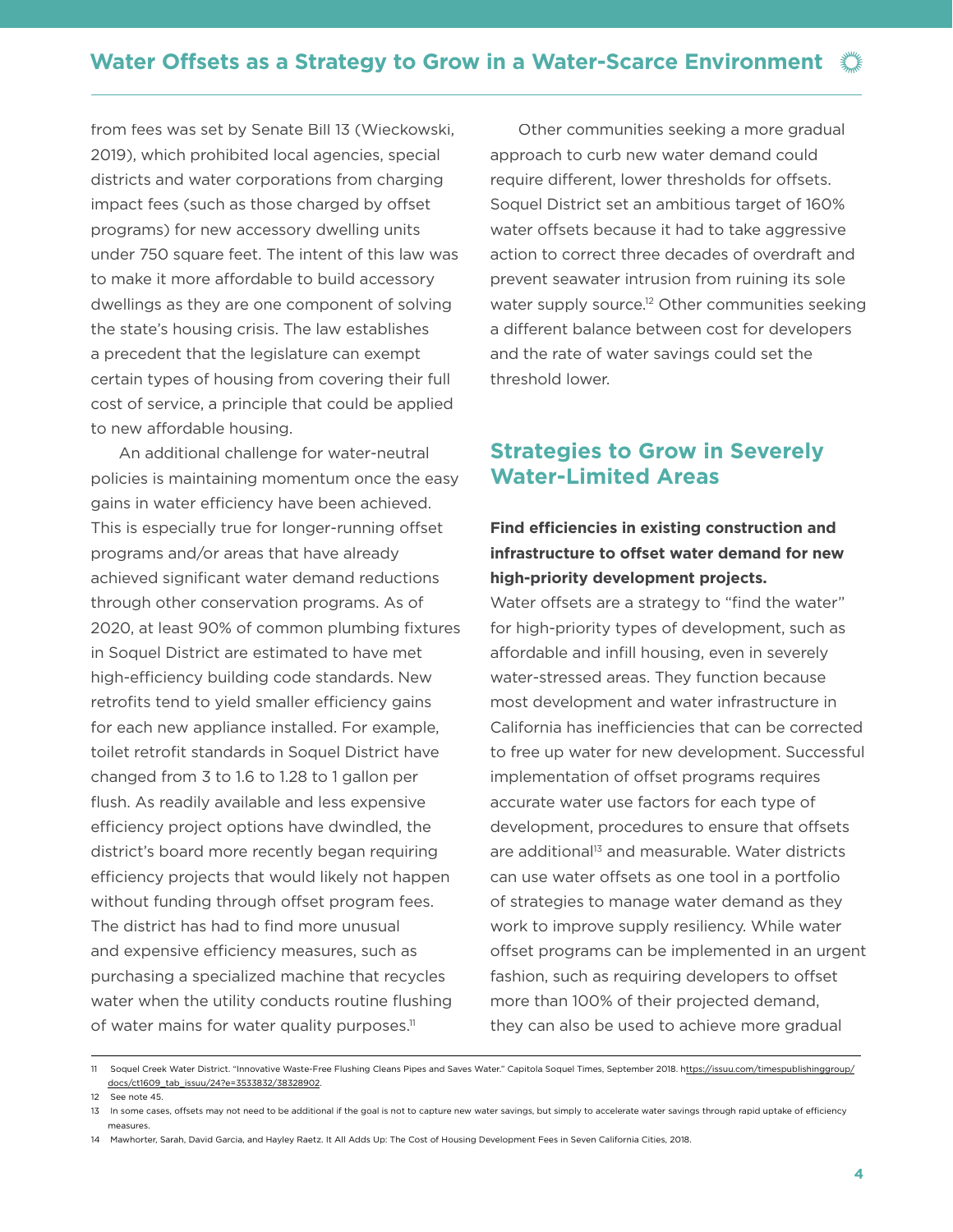from fees was set by Senate Bill 13 (Wieckowski, 2019), which prohibited local agencies, special districts and water corporations from charging impact fees (such as those charged by offset programs) for new accessory dwelling units under 750 square feet. The intent of this law was to make it more affordable to build accessory dwellings as they are one component of solving the state's housing crisis. The law establishes a precedent that the legislature can exempt certain types of housing from covering their full cost of service, a principle that could be applied to new affordable housing.

An additional challenge for water-neutral policies is maintaining momentum once the easy gains in water efficiency have been achieved. This is especially true for longer-running offset programs and/or areas that have already achieved significant water demand reductions through other conservation programs. As of 2020, at least 90% of common plumbing fixtures in Soquel District are estimated to have met high-efficiency building code standards. New retrofits tend to yield smaller efficiency gains for each new appliance installed. For example, toilet retrofit standards in Soquel District have changed from 3 to 1.6 to 1.28 to 1 gallon per flush. As readily available and less expensive efficiency project options have dwindled, the district's board more recently began requiring efficiency projects that would likely not happen without funding through offset program fees. The district has had to find more unusual and expensive efficiency measures, such as purchasing a specialized machine that recycles water when the utility conducts routine flushing of water mains for water quality purposes.<sup>11</sup>

Other communities seeking a more gradual approach to curb new water demand could require different, lower thresholds for offsets. Soquel District set an ambitious target of 160% water offsets because it had to take aggressive action to correct three decades of overdraft and prevent seawater intrusion from ruining its sole water supply source.<sup>12</sup> Other communities seeking a different balance between cost for developers and the rate of water savings could set the threshold lower.

## **Strategies to Grow in Severely Water-Limited Areas**

### **Find efficiencies in existing construction and infrastructure to offset water demand for new high-priority development projects.**

Water offsets are a strategy to "find the water" for high-priority types of development, such as affordable and infill housing, even in severely water-stressed areas. They function because most development and water infrastructure in California has inefficiencies that can be corrected to free up water for new development. Successful implementation of offset programs requires accurate water use factors for each type of development, procedures to ensure that offsets are additional<sup>13</sup> and measurable. Water districts can use water offsets as one tool in a portfolio of strategies to manage water demand as they work to improve supply resiliency. While water offset programs can be implemented in an urgent fashion, such as requiring developers to offset more than 100% of their projected demand, they can also be used to achieve more gradual

12 See note 45.

<sup>11</sup> Soquel Creek Water District. "Innovative Waste-Free Flushing Cleans Pipes and Saves Water." Capitola Soquel Times, September 2018. [https://issuu.com/timespublishinggroup/](https://issuu.com/timespublishinggroup/docs/ct1609_tab_issuu/24?e=3533832/38328902) [docs/ct1609\\_tab\\_issuu/24?e=3533832/38328902.](https://issuu.com/timespublishinggroup/docs/ct1609_tab_issuu/24?e=3533832/38328902)

<sup>13</sup> In some cases, offsets may not need to be additional if the goal is not to capture new water savings, but simply to accelerate water savings through rapid uptake of efficiency measures.

<sup>14</sup> Mawhorter, Sarah, David Garcia, and Hayley Raetz. It All Adds Up: The Cost of Housing Development Fees in Seven California Cities, 2018.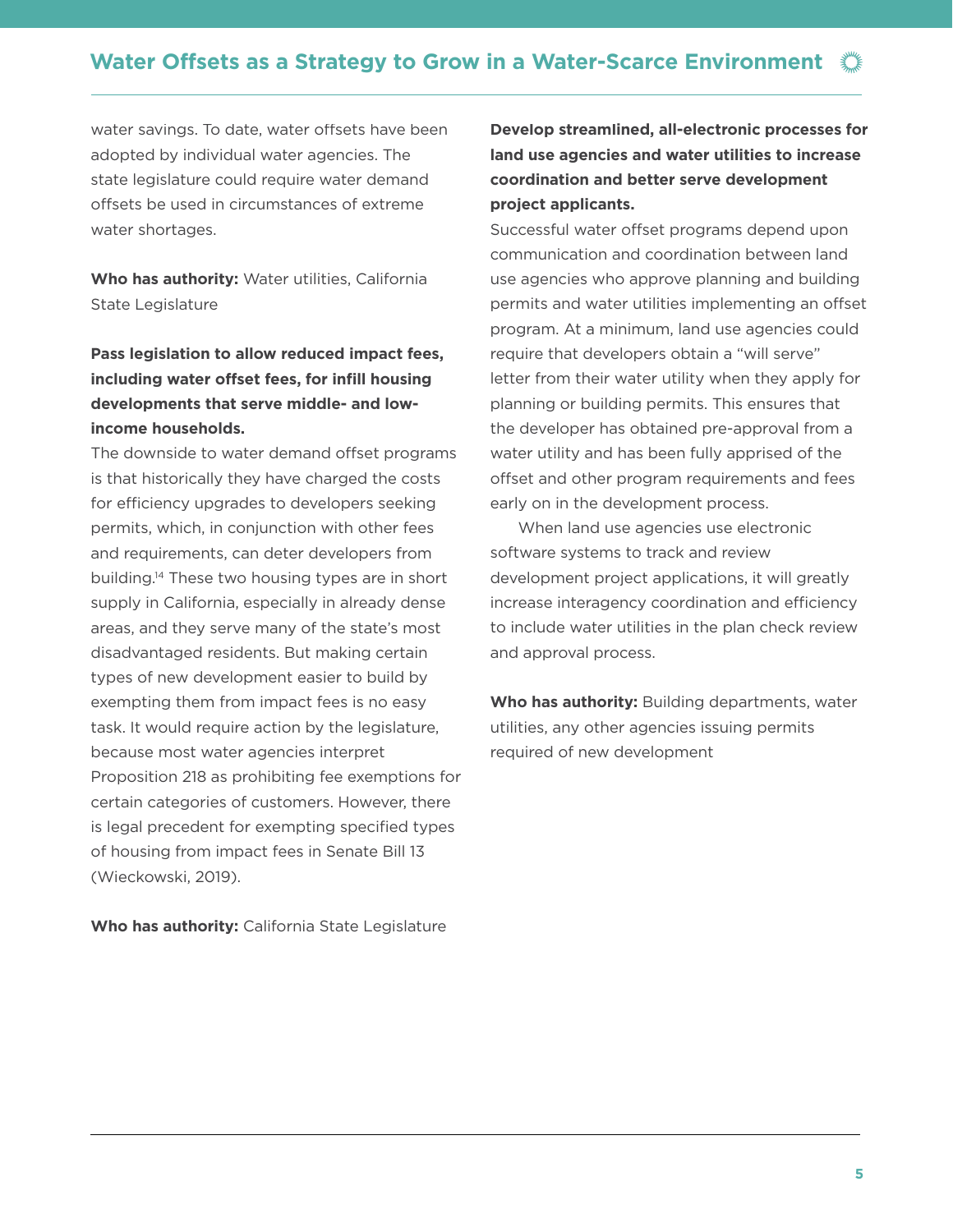water savings. To date, water offsets have been adopted by individual water agencies. The state legislature could require water demand offsets be used in circumstances of extreme water shortages.

**Who has authority:** Water utilities, California State Legislature

### **Pass legislation to allow reduced impact fees, including water offset fees, for infill housing developments that serve middle- and lowincome households.**

The downside to water demand offset programs is that historically they have charged the costs for efficiency upgrades to developers seeking permits, which, in conjunction with other fees and requirements, can deter developers from building.14 These two housing types are in short supply in California, especially in already dense areas, and they serve many of the state's most disadvantaged residents. But making certain types of new development easier to build by exempting them from impact fees is no easy task. It would require action by the legislature, because most water agencies interpret Proposition 218 as prohibiting fee exemptions for certain categories of customers. However, there is legal precedent for exempting specified types of housing from impact fees in Senate Bill 13 (Wieckowski, 2019).

**Who has authority:** California State Legislature

### **Develop streamlined, all-electronic processes for land use agencies and water utilities to increase coordination and better serve development project applicants.**

Successful water offset programs depend upon communication and coordination between land use agencies who approve planning and building permits and water utilities implementing an offset program. At a minimum, land use agencies could require that developers obtain a "will serve" letter from their water utility when they apply for planning or building permits. This ensures that the developer has obtained pre-approval from a water utility and has been fully apprised of the offset and other program requirements and fees early on in the development process.

When land use agencies use electronic software systems to track and review development project applications, it will greatly increase interagency coordination and efficiency to include water utilities in the plan check review and approval process.

**Who has authority:** Building departments, water utilities, any other agencies issuing permits required of new development